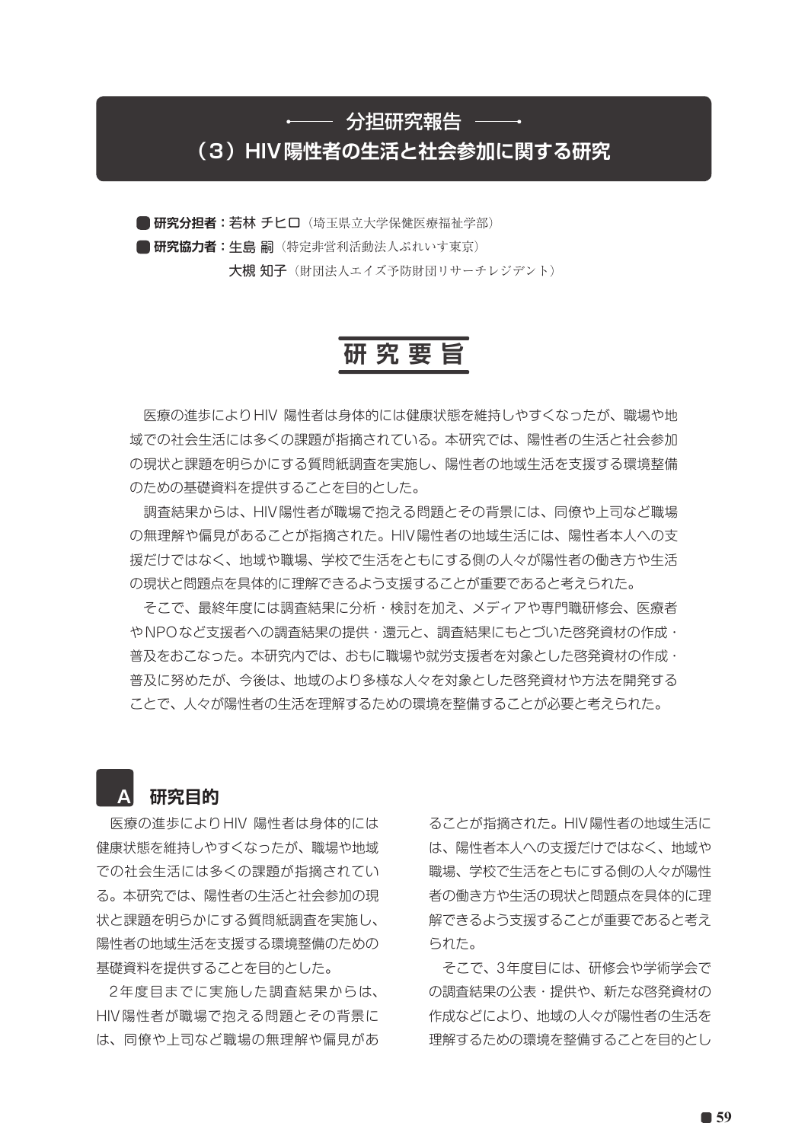#### ←── 分担研究報告 ─

## **(3)HIV陽性者の生活と社会参加に関する研究**

**■研究分担者: 若林 チヒロ**(埼玉県立大学保健医療福祉学部) **■研究協力者:牛鳥嗣**(特定非営利活動法人ぷれいす東京)

大槻 知子(財団法人エイズ予防財団リサーチレジデント)

# **研 究 要 旨**

 医療の進歩によりHIV 陽性者は身体的には健康状態を維持しやすくなったが、職場や地 域での社会生活には多くの課題が指摘されている。本研究では、陽性者の生活と社会参加 の現状と課題を明らかにする質問紙調査を実施し、陽性者の地域生活を支援する環境整備 のための基礎資料を提供することを目的とした。

 調査結果からは、HIV陽性者が職場で抱える問題とその背景には、同僚や上司など職場 の無理解や偏見があることが指摘された。HIV陽性者の地域生活には、陽性者本人への支 援だけではなく、地域や職場、学校で生活をともにする側の人々が陽性者の働き方や生活 の現状と問題点を具体的に理解できるよう支援することが重要であると考えられた。

 そこで、最終年度には調査結果に分析・検討を加え、メディアや専門職研修会、医療者 やNPOなど支援者への調査結果の提供・還元と、調査結果にもとづいた啓発資材の作成・ 普及をおこなった。本研究内では、おもに職場や就労支援者を対象とした啓発資材の作成・ 普及に努めたが、今後は、地域のより多様な人々を対象とした啓発資材や方法を開発する ことで、人々が陽性者の生活を理解するための環境を整備することが必要と考えられた。

### **A 研究目的**

 医療の進歩によりHIV 陽性者は身体的には 健康状態を維持しやすくなったが、職場や地域 での社会生活には多くの課題が指摘されてい る。本研究では、陽性者の生活と社会参加の現 状と課題を明らかにする質問紙調査を実施し、 陽性者の地域生活を支援する環境整備のための 基礎資料を提供することを目的とした。

 2年度目までに実施した調査結果からは、 HIV陽性者が職場で抱える問題とその背景に は、同僚や上司など職場の無理解や偏見があ ることが指摘された。HIV陽性者の地域生活に は、陽性者本人への支援だけではなく、地域や 職場、学校で生活をともにする側の人々が陽性 者の働き方や生活の現状と問題点を具体的に理 解できるよう支援することが重要であると考え られた。

 そこで、3年度目には、研修会や学術学会で の調査結果の公表・提供や、新たな啓発資材の 作成などにより、地域の人々が陽性者の生活を 理解するための環境を整備することを目的とし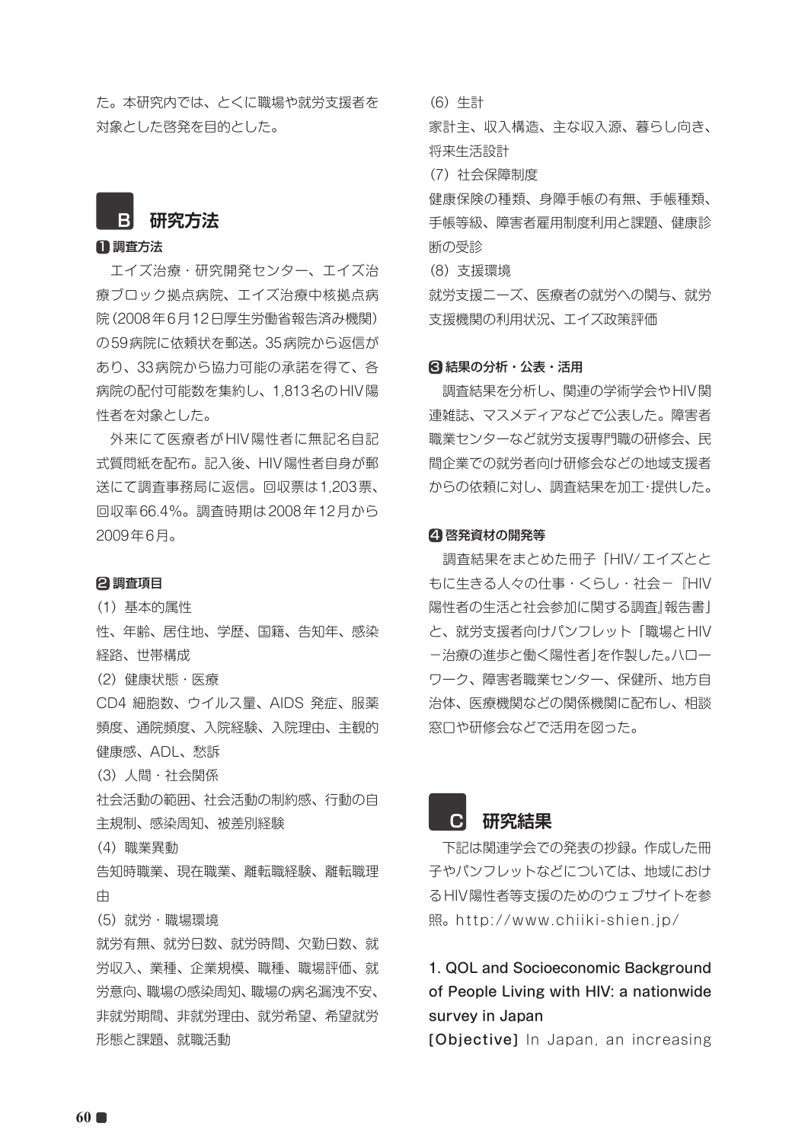た。本研究内では、とくに職場や就労支援者を 対象とした啓発を目的とした。

# **B 研究方法**

#### 1 調査方法

 エイズ治療・研究開発センター、エイズ治 療ブロック拠点病院、エイズ治療中核拠点病 院(2008年6月12日厚生労働省報告済み機関) の59病院に依頼状を郵送。35病院から返信が あり、33病院から協力可能の承諾を得て、各 病院の配付可能数を集約し、1,813名のHIV陽 性者を対象とした。

 外来にて医療者がHIV陽性者に無記名自記 式質問紙を配布。記入後、HIV陽性者自身が郵 送にて調査事務局に返信。回収票は1,203票、 回収率66.4%。調査時期は2008年12月から 2009年6月。

#### 2 調査項目

(1)基本的属性

性、年齢、居住地、学歴、国籍、告知年、感染 経路、世帯構成

(2)健康状態・医療

CD4 細胞数、ウイルス量、AIDS 発症、服薬 頻度、通院頻度、入院経験、入院理由、主観的 健康感、ADL、愁訴

(3) 人間・社会関係

社会活動の範囲、社会活動の制約感、行動の自 主規制、感染周知、被差別経験

#### (4)職業異動

告知時職業、現在職業、離転職経験、離転職理 由

(5)就労・職場環境

就労有無、就労日数、就労時間、欠勤日数、就 労収入、業種、企業規模、職種、職場評価、就 労意向、職場の感染周知、職場の病名漏洩不安、 非就労期間、非就労理由、就労希望、希望就労 形態と課題、就職活動

(6)生計

家計主、収入構造、主な収入源、暮らし向き、 将来生活設計

(7)社会保障制度

健康保険の種類、身障手帳の有無、手帳種類、 手帳等級、障害者雇用制度利用と課題、健康診 断の受診

(8)支援環境

就労支援ニーズ、医療者の就労への関与、就労 支援機関の利用状況、エイズ政策評価

#### 8 結果の分析・公表・活用

 調査結果を分析し、関連の学術学会やHIV関 連雑誌、マスメディアなどで公表した。障害者 職業センターなど就労支援専門職の研修会、民 間企業での就労者向け研修会などの地域支援者 からの依頼に対し、調査結果を加工・提供した。

#### 4 啓発資材の開発等

 調査結果をまとめた冊子「HIV/エイズとと もに生きる人々の仕事・くらし・社会-『HIV 陽性者の生活と社会参加に関する調査』報告書」 と、就労支援者向けパンフレット「職場とHIV -治療の進歩と働く陽性者」を作製した。ハロー ワーク、障害者職業センター、保健所、地方自 治体、医療機関などの関係機関に配布し、相談 窓口や研修会などで活用を図った。



 下記は関連学会での発表の抄録。作成した冊 子やパンフレットなどについては、地域におけ るHIV陽性者等支援のためのウェブサイトを参 照。http://www.chiiki-shien.jp/

#### 1. QOL and Socioeconomic Background of People Living with HIV: a nationwide survey in Japan

[Objective] In Japan, an increasing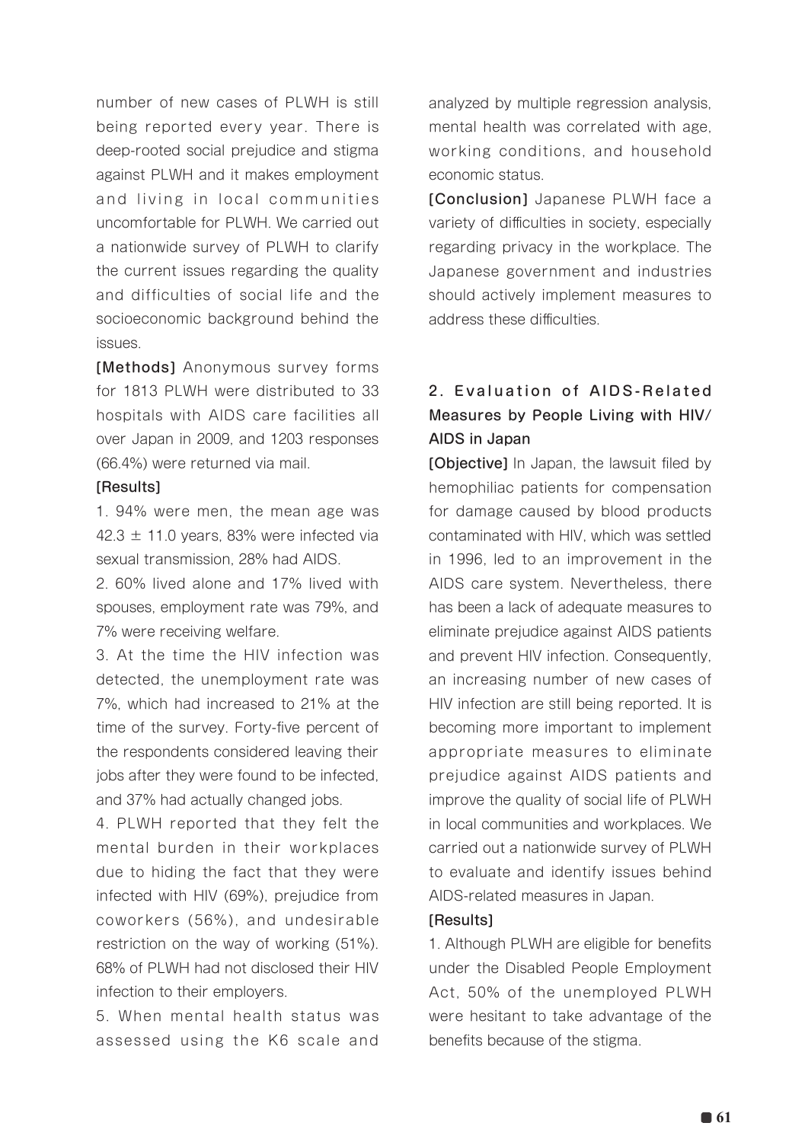number of new cases of PLWH is still being reported every year. There is deep-rooted social prejudice and stigma against PLWH and it makes employment and living in local communities uncomfortable for PLWH. We carried out a nationwide survey of PLWH to clarify the current issues regarding the quality and difficulties of social life and the socioeconomic background behind the issues.

[Methods] Anonymous survey forms for 1813 PLWH were distributed to 33 hospitals with AIDS care facilities all over Japan in 2009, and 1203 responses (66.4%) were returned via mail.

#### [Results]

1. 94% were men, the mean age was 42.3  $\pm$  11.0 years, 83% were infected via sexual transmission, 28% had AIDS.

2. 60% lived alone and 17% lived with spouses, employment rate was 79%, and 7% were receiving welfare.

3. At the time the HIV infection was detected, the unemployment rate was 7%, which had increased to 21% at the time of the survey. Forty-five percent of the respondents considered leaving their jobs after they were found to be infected, and 37% had actually changed jobs.

4. PLWH reported that they felt the mental burden in their workplaces due to hiding the fact that they were infected with HIV (69%), prejudice from coworkers (56%), and undesirable restriction on the way of working (51%). 68% of PLWH had not disclosed their HIV infection to their employers.

5. When mental health status was assessed using the K6 scale and analyzed by multiple regression analysis, mental health was correlated with age, working conditions, and household economic status.

[Conclusion] Japanese PLWH face a variety of difficulties in society, especially regarding privacy in the workplace. The Japanese government and industries should actively implement measures to address these difficulties.

### 2. Evaluation of AIDS-Related Measures by People Living with HIV/ AIDS in Japan

**[Objective]** In Japan, the lawsuit filed by hemophiliac patients for compensation for damage caused by blood products contaminated with HIV, which was settled in 1996, led to an improvement in the AIDS care system. Nevertheless, there has been a lack of adequate measures to eliminate prejudice against AIDS patients and prevent HIV infection. Consequently, an increasing number of new cases of HIV infection are still being reported. It is becoming more important to implement appropriate measures to eliminate prejudice against AIDS patients and improve the quality of social life of PLWH in local communities and workplaces. We carried out a nationwide survey of PLWH to evaluate and identify issues behind AIDS-related measures in Japan.

#### [Results]

1. Although PLWH are eligible for benefits under the Disabled People Employment Act, 50% of the unemployed PLWH were hesitant to take advantage of the benefits because of the stigma.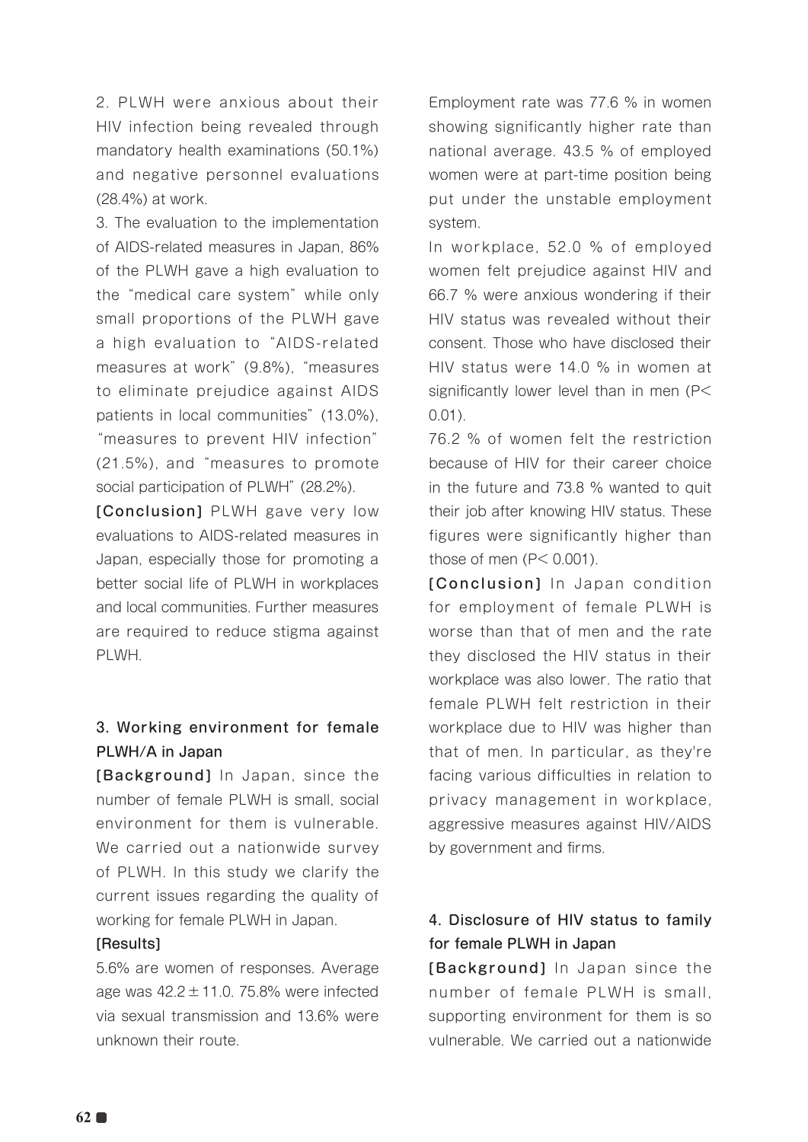2. PLWH were anxious about their HIV infection being revealed through mandatory health examinations (50.1%) and negative personnel evaluations (28.4%) at work.

3. The evaluation to the implementation of AIDS-related measures in Japan, 86% of the PLWH gave a high evaluation to the "medical care system" while only small proportions of the PLWH gave a high evaluation to "AIDS-related measures at work" (9.8%), "measures to eliminate prejudice against AIDS patients in local communities" (13.0%), "measures to prevent HIV infection" (21.5%), and "measures to promote social participation of PLWH" (28.2%).

[Conclusion] PLWH gave very low evaluations to AIDS-related measures in Japan, especially those for promoting a better social life of PLWH in workplaces and local communities. Further measures are required to reduce stigma against PLWH.

#### 3. Working environment for female PLWH/A in Japan

[Background] In Japan, since the number of female PLWH is small, social environment for them is vulnerable. We carried out a nationwide survey of PLWH. In this study we clarify the current issues regarding the quality of working for female PLWH in Japan.

#### [Results]

5.6% are women of responses. Average age was  $42.2 \pm 11.0$ . 75.8% were infected via sexual transmission and 13.6% were unknown their route.

Employment rate was 77.6 % in women showing significantly higher rate than national average. 43.5 % of employed women were at part-time position being put under the unstable employment system.

In workplace, 52.0 % of employed women felt prejudice against HIV and 66.7 % were anxious wondering if their HIV status was revealed without their consent. Those who have disclosed their HIV status were 14.0 % in women at significantly lower level than in men (P< 0.01).

76.2 % of women felt the restriction because of HIV for their career choice in the future and 73.8 % wanted to quit their job after knowing HIV status. These figures were significantly higher than those of men  $(P< 0.001)$ .

[Conclusion] In Japan condition for employment of female PLWH is worse than that of men and the rate they disclosed the HIV status in their workplace was also lower. The ratio that female PLWH felt restriction in their workplace due to HIV was higher than that of men. In particular, as they're facing various difficulties in relation to privacy management in workplace, aggressive measures against HIV/AIDS by government and firms.

### 4. Disclosure of HIV status to family for female PLWH in Japan

[Background] In Japan since the number of female PLWH is small, supporting environment for them is so vulnerable. We carried out a nationwide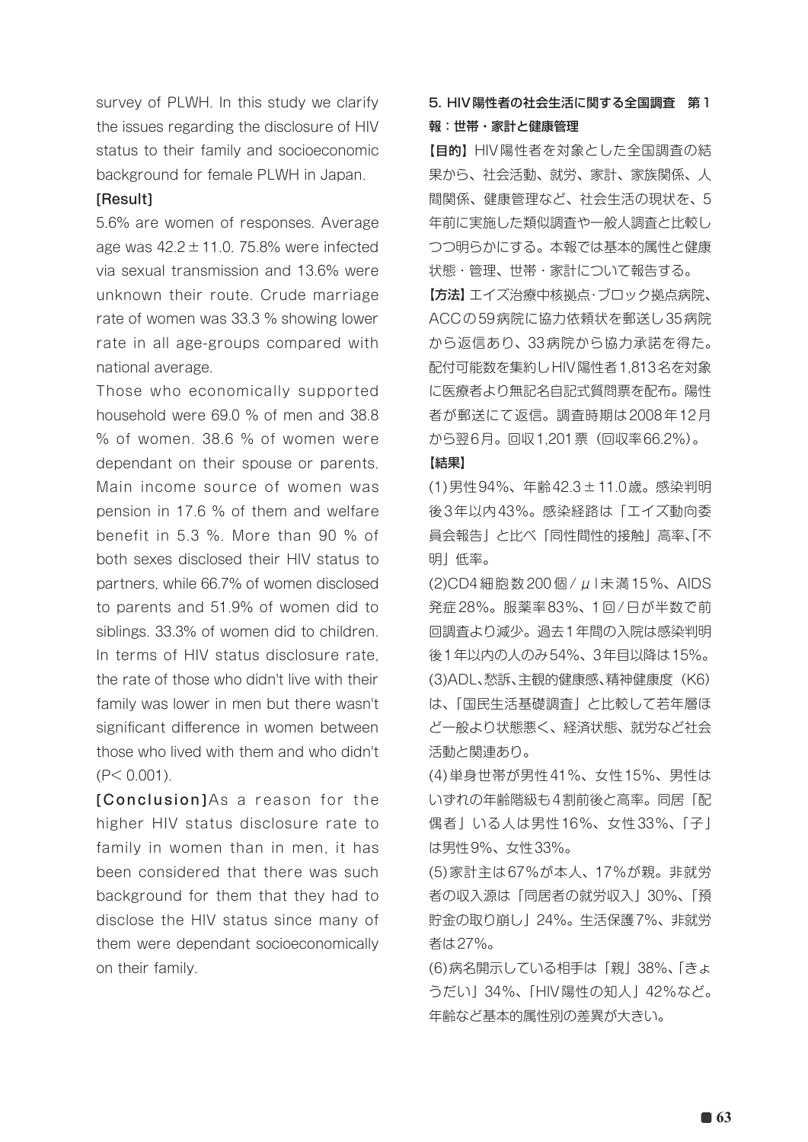survey of PLWH. In this study we clarify the issues regarding the disclosure of HIV status to their family and socioeconomic background for female PLWH in Japan.

#### [Result]

5.6% are women of responses. Average age was  $42.2 \pm 11.0$ . 75.8% were infected via sexual transmission and 13.6% were unknown their route. Crude marriage rate of women was 33.3 % showing lower rate in all age-groups compared with national average.

Those who economically supported household were 69.0 % of men and 38.8 % of women. 38.6 % of women were dependant on their spouse or parents. Main income source of women was pension in 17.6 % of them and welfare benefit in 5.3 %. More than 90 % of both sexes disclosed their HIV status to partners, while 66.7% of women disclosed to parents and 51.9% of women did to siblings. 33.3% of women did to children. In terms of HIV status disclosure rate, the rate of those who didn't live with their family was lower in men but there wasn't significant difference in women between those who lived with them and who didn't  $(P < 0.001)$ .

[Conclusion]As a reason for the higher HIV status disclosure rate to family in women than in men, it has been considered that there was such background for them that they had to disclose the HIV status since many of them were dependant socioeconomically on their family.

#### 5. HIV陽性者の社会生活に関する全国調査 第1 報:世帯・家計と健康管理

【目的】HIV陽性者を対象とした全国調査の結 果から、社会活動、就労、家計、家族関係、人 間関係、健康管理など、社会生活の現状を、5 年前に実施した類似調査や一般人調査と比較し つつ明らかにする。本報では基本的属性と健康 状態・管理、世帯・家計について報告する。 「方法】エイズ治療中核拠点・ブロック拠点病院、 ACCの59病院に協力依頼状を郵送し35病院 から返信あり、33病院から協力承諾を得た。 配付可能数を集約しHIV陽性者1,813名を対象 に医療者より無記名自記式質問票を配布。陽性 者が郵送にて返信。調査時期は2008年12月 から翌6月。回収1,201票(回収率66.2%)。

#### 【結果】

(1)男性94%、年齢42.3±11.0歳。感染判明 後3年以内43%。感染経路は「エイズ動向委 員会報告」と比べ「同性間性的接触」高率、「不 明」低率。

(2)CD4 細胞数 200 個 / μ l 未満 15%、AIDS 発症28%。服薬率83%、1回/日が半数で前 回調査より減少。過去1年間の入院は感染判明 後1年以内の人のみ54%、3年目以降は15%。 (3)ADL、愁訴、主観的健康感、精神健康度(K6) は、「国民生活基礎調査」と比較して若年層ほ ど一般より状態悪く、経済状態、就労など社会 活動と関連あり。

(4)単身世帯が男性41%、女性15%、男性は いずれの年齢階級も4割前後と高率。同居「配 偶者」いる人は男性16%、女性33%、「子」 は男性9%、女性33%。

(5)家計主は67%が本人、17%が親。非就労 者の収入源は「同居者の就労収入」30%、「預 貯金の取り崩し」24%。生活保護7%、非就労 者は27%。

(6)病名開示している相手は「親」38%、「きょ うだい」34%、「HIV陽性の知人」42%など。 年齢など基本的属性別の差異が大きい。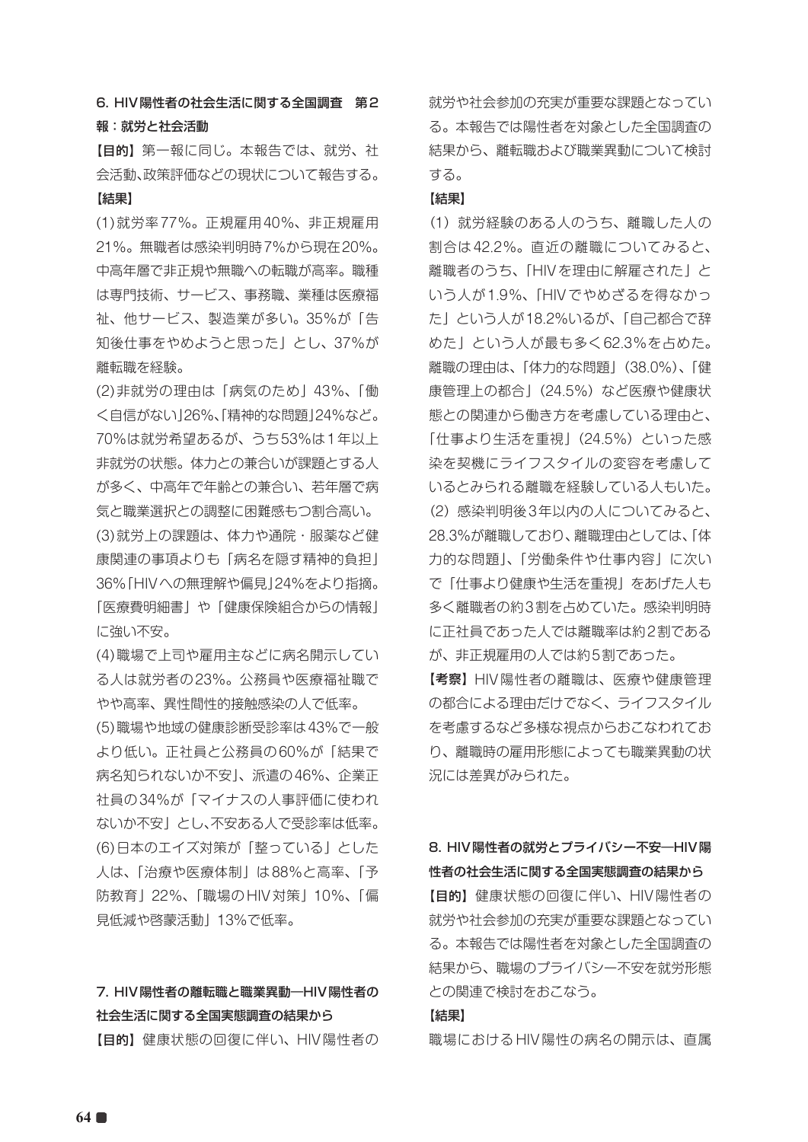6. HIV陽性者の社会生活に関する全国調査 第2 報:就労と社会活動

【目的】第一報に同じ。本報告では、就労、社 会活動、政策評価などの現状について報告する。 【結果】

(1)就労率77%。正規雇用40%、非正規雇用 21%。無職者は感染判明時7%から現在20%。 中高年層で非正規や無職への転職が高率。職種 は専門技術、サービス、事務職、業種は医療福 祉、他サービス、製造業が多い。35%が「告 知後仕事をやめようと思った」とし、37%が 離転職を経験。

(2)非就労の理由は「病気のため」43%、「働 く自信がない」26%、「精神的な問題」24%など。 70%は就労希望あるが、うち53%は1年以上 非就労の状態。体力との兼合いが課題とする人 が多く、中高年で年齢との兼合い、若年層で病 気と職業選択との調整に困難感もつ割合高い。 (3)就労上の課題は、体力や通院・服薬など健 康関連の事項よりも「病名を隠す精神的負担」 36%「HIVへの無理解や偏見」24%をより指摘。 「医療費明細書」や「健康保険組合からの情報」 に強い不安。

(4)職場で上司や雇用主などに病名開示してい る人は就労者の23%。公務員や医療福祉職で やや高率、異性間性的接触感染の人で低率。 (5)職場や地域の健康診断受診率は43%で一般 より低い。正社員と公務員の60%が「結果で 病名知られないか不安」、派遣の46%、企業正 社員の34%が「マイナスの人事評価に使われ ないか不安」とし、不安ある人で受診率は低率。 (6)日本のエイズ対策が「整っている」とした 人は、「治療や医療体制」は88%と高率、「予 防教育」22%、「職場のHIV対策」10%、「偏 見低減や啓蒙活動」13%で低率。

#### 7. HIV陽性者の離転職と職業異動―HIV陽性者の 社会生活に関する全国実態調査の結果から

【目的】健康状態の回復に伴い、HIV陽性者の

就労や社会参加の充実が重要な課題となってい る。本報告では陽性者を対象とした全国調査の 結果から、離転職および職業異動について検討 する。

#### 【結果】

(1) 就労経験のある人のうち、離職した人の 割合は42.2%。直近の離職についてみると、 離職者のうち、「HIVを理由に解雇された」と いう人が1.9%、「HIVでやめざるを得なかっ た」という人が18.2%いるが、「自己都合で辞 めた」という人が最も多く62.3%を占めた。 離職の理由は、「体力的な問題」(38.0%)、「健 康管理上の都合」(24.5%)など医療や健康状 態との関連から働き方を考慮している理由と、 「仕事より生活を重視」(24.5%)といった感 染を契機にライフスタイルの変容を考慮して いるとみられる離職を経験している人もいた。 (2) 感染判明後3年以内の人についてみると、 28.3%が離職しており、離職理由としては、「体 力的な問題」、「労働条件や仕事内容」に次い で「仕事より健康や生活を重視」をあげた人も 多く離職者の約3割を占めていた。感染判明時 に正社員であった人では離職率は約2割である が、非正規雇用の人では約5割であった。 【考察】HIV陽性者の離職は、医療や健康管理 の都合による理由だけでなく、ライフスタイル

を考慮するなど多様な視点からおこなわれてお り、離職時の雇用形態によっても職業異動の状 況には差異がみられた。

#### 8. HIV陽性者の就労とプライバシー不安―HIV陽 性者の社会生活に関する全国実態調査の結果から

【目的】健康状態の回復に伴い、HIV陽性者の 就労や社会参加の充実が重要な課題となってい る。本報告では陽性者を対象とした全国調査の 結果から、職場のプライバシー不安を就労形態 との関連で検討をおこなう。

#### 【結果】

職場におけるHIV陽性の病名の開示は、直属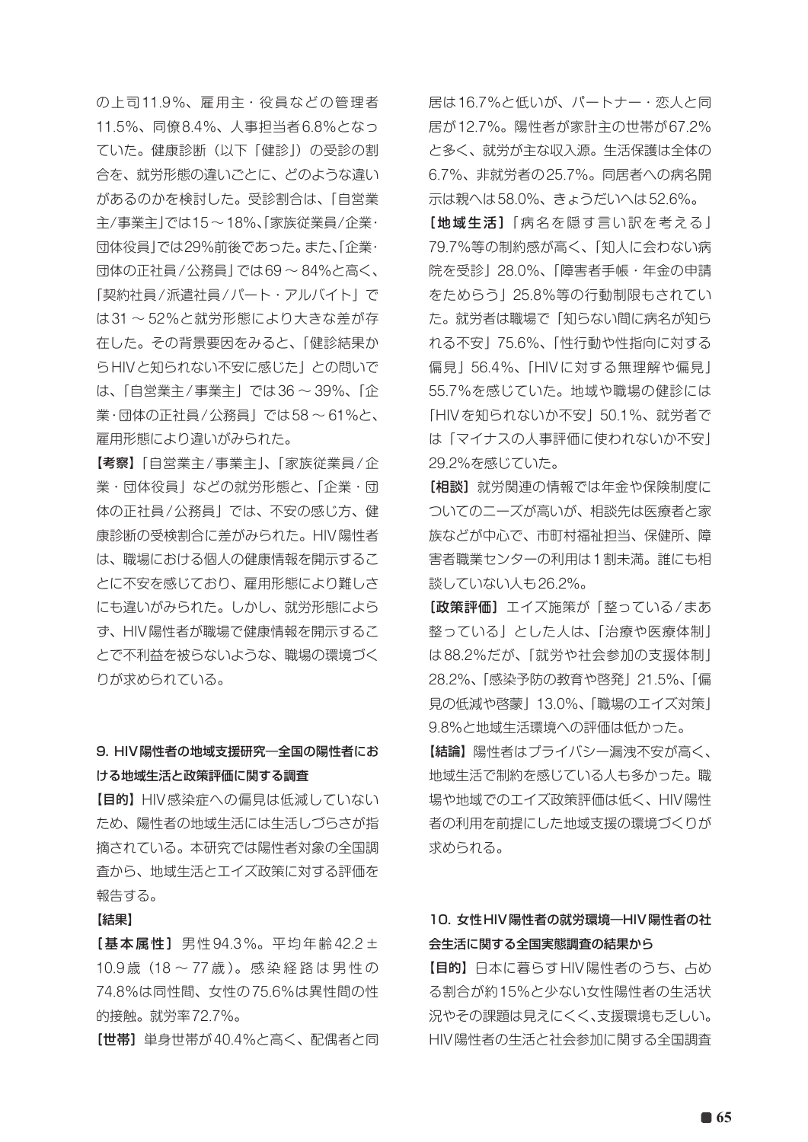の上司 11.9%、雇用主・役員などの管理者 11.5%、同僚8.4%、人事担当者6.8%となっ ていた。健康診断(以下「健診」)の受診の割 合を、就労形態の違いごとに、どのような違い があるのかを検討した。受診割合は、「自営業 主/事業主」では15 ~ 18%、「家族従業員/企業・ 団体役員」では29%前後であった。また、「企業・ 団体の正社員/公務員」では69 ~ 84%と高く、 「契約社員/派遣社員/パート・アルバイト」で は31 ~ 52%と就労形態により大きな差が存 在した。その背景要因をみると、「健診結果か らHIVと知られない不安に感じた」との問いで は、「自営業主/事業主」では36 ~ 39%、「企 業・団体の正社員/公務員」では58 ~ 61%と、 雇用形態により違いがみられた。

【考察】「自営業主/事業主」、「家族従業員/企 業・団体役員」などの就労形態と、「企業・団 体の正社員/公務員」では、不安の感じ方、健 康診断の受検割合に差がみられた。HIV陽性者 は、職場における個人の健康情報を開示するこ とに不安を感じており、雇用形態により難しさ にも違いがみられた。しかし、就労形態によら ず、HIV陽性者が職場で健康情報を開示するこ とで不利益を被らないような、職場の環境づく りが求められている。

#### 9. HIV陽性者の地域支援研究―全国の陽性者にお ける地域生活と政策評価に関する調査

【目的】HIV感染症への偏見は低減していない ため、陽性者の地域生活には生活しづらさが指 摘されている。本研究では陽性者対象の全国調 査から、地域生活とエイズ政策に対する評価を 報告する。

#### 【結果】

[基本属性] 男性 94.3%。平均年齢 42.2 ± 10.9 歳(18 ~ 77 歳 )。 感 染 経 路 は 男 性 の 74.8%は同性間、女性の75.6%は異性間の性 的接触。就労率72.7%。

[世帯]単身世帯が40.4%と高く、配偶者と同

居は16.7%と低いが、パートナー・恋人と同 居が12.7%。陽性者が家計主の世帯が67.2% と多く、就労が主な収入源。生活保護は全体の 6.7%、非就労者の25.7%。同居者への病名開 示は親へは58.0%、きょうだいへは52.6%。

[地域生活]「病名を隠す言い訳を考える」 79.7%等の制約感が高く、「知人に会わない病 院を受診」28.0%、「障害者手帳・年金の申請 をためらう」25.8%等の行動制限もされてい た。就労者は職場で「知らない間に病名が知ら れる不安」75.6%、「性行動や性指向に対する 偏見」56.4%、「HIVに対する無理解や偏見」 55.7%を感じていた。地域や職場の健診には 「HIVを知られないか不安」50.1%、就労者で は「マイナスの人事評価に使われないか不安」 29.2%を感じていた。

「相談】就労関連の情報では年金や保険制度に ついてのニーズが高いが、相談先は医療者と家 族などが中心で、市町村福祉担当、保健所、障 害者職業センターの利用は1割未満。誰にも相 談していない人も26.2%。

[政策評価]エイズ施策が「整っている/まあ 整っている」とした人は、「治療や医療体制」 は88.2%だが、「就労や社会参加の支援体制」 28.2%、「感染予防の教育や啓発」21.5%、「偏 見の低減や啓蒙」13.0%、「職場のエイズ対策」 9.8%と地域生活環境への評価は低かった。

【結論】陽性者はプライバシー漏洩不安が高く、 地域生活で制約を感じている人も多かった。職 場や地域でのエイズ政策評価は低く、HIV陽性 者の利用を前提にした地域支援の環境づくりが 求められる。

#### 10. 女性HIV陽性者の就労環境―HIV陽性者の社 会生活に関する全国実態調査の結果から

【目的】日本に暮らすHIV陽性者のうち、占め る割合が約15%と少ない女性陽性者の生活状 況やその課題は見えにくく、支援環境も乏しい。 HIV陽性者の生活と社会参加に関する全国調査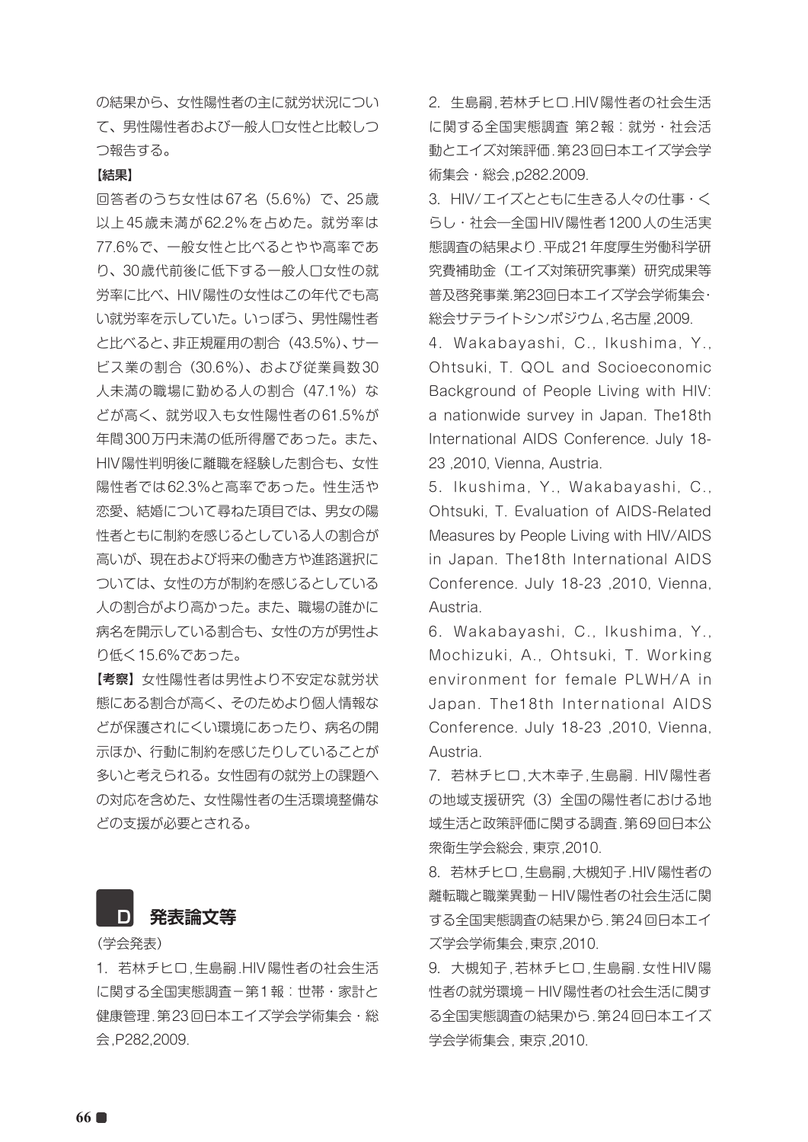の結果から、女性陽性者の主に就労状況につい て、男性陽性者および一般人口女性と比較しつ つ報告する。

#### 【結果】

回答者のうち女性は67名(5.6%)で、25歳 以上45歳未満が62.2%を占めた。就労率は 77.6%で、一般女性と比べるとやや高率であ り、30歳代前後に低下する一般人口女性の就 労率に比べ、HIV陽性の女性はこの年代でも高 い就労率を示していた。いっぽう、男性陽性者 と比べると、非正規雇用の割合(43.5%)、サー ビス業の割合(30.6%)、および従業員数30 人未満の職場に勤める人の割合(47.1%)な どが高く、就労収入も女性陽性者の61.5%が 年間300万円未満の低所得層であった。また、 HIV陽性判明後に離職を経験した割合も、女性 陽性者では62.3%と高率であった。性生活や 恋愛、結婚について尋ねた項目では、男女の陽 性者ともに制約を感じるとしている人の割合が 高いが、現在および将来の働き方や進路選択に ついては、女性の方が制約を感じるとしている 人の割合がより高かった。また、職場の誰かに 病名を開示している割合も、女性の方が男性よ り低く15.6%であった。

【考察】女性陽性者は男性より不安定な就労状 態にある割合が高く、そのためより個人情報な どが保護されにくい環境にあったり、病名の開 示ほか、行動に制約を感じたりしていることが 多いと考えられる。女性固有の就労上の課題へ の対応を含めた、女性陽性者の生活環境整備な どの支援が必要とされる。

# **D 発表論文等**

(学会発表)

1.若林チヒロ,生島嗣.HIV陽性者の社会生活 に関する全国実態調査-第1報:世帯·家計と 健康管理.第23回日本エイズ学会学術集会・総 会,P282,2009.

2. 生島嗣,若林チヒロ.HIV陽性者の社会生活 に関する全国実態調査 第2報:就労・社会活 動とエイズ対策評価.第23回日本エイズ学会学 術集会・総会,p282.2009.

3.HIV/エイズとともに生きる人々の仕事・く らし・社会―全国HIV陽性者1200人の生活実 態調査の結果より.平成21年度厚生労働科学研 究費補助金(エイズ対策研究事業)研究成果等 普及啓発事業.第23回日本エイズ学会学術集会・ 総会サテライトシンポジウム,名古屋,2009.

4.Wakabayashi, C., Ikushima, Y., Ohtsuki, T. QOL and Socioeconomic Background of People Living with HIV: a nationwide survey in Japan. The18th International AIDS Conference. July 18- 23 ,2010, Vienna, Austria.

5.Ikushima, Y., Wakabayashi, C., Ohtsuki, T. Evaluation of AIDS-Related Measures by People Living with HIV/AIDS in Japan. The18th International AIDS Conference. July 18-23 ,2010, Vienna, Austria.

6.Wakabayashi, C., Ikushima, Y., Mochizuki, A., Ohtsuki, T. Working environment for female PLWH/A in Japan. The18th International AIDS Conference. July 18-23 ,2010, Vienna, Austria.

7.若林チヒロ,大木幸子,生島嗣. HIV陽性者 の地域支援研究 (3) 全国の陽性者における地 域生活と政策評価に関する調査.第69回日本公 衆衛生学会総会, 東京,2010.

8.若林チヒロ,生島嗣,大槻知子.HIV陽性者の 離転職と職業異動-HIV陽性者の社会生活に関 する全国実態調査の結果から.第24回日本エイ ズ学会学術集会,東京,2010.

9.大槻知子,若林チヒロ,生島嗣.女性HIV陽 性者の就労環境-HIV陽性者の社会生活に関す る全国実態調査の結果から.第24回日本エイズ 学会学術集会, 東京,2010.